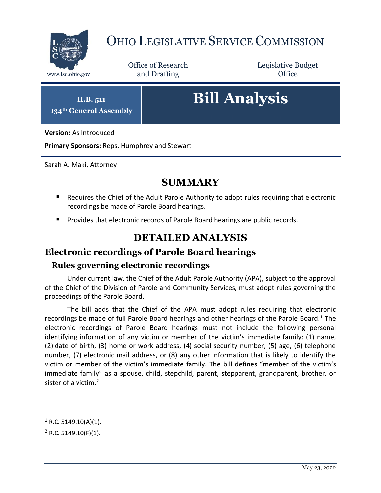

## OHIO LEGISLATIVE SERVICE COMMISSION

Office of Research www.lsc.ohio.gov **and Drafting Office** 

Legislative Budget

**H.B. 511 134th General Assembly**

# **Bill Analysis**

**Version:** As Introduced

**Primary Sponsors:** Reps. Humphrey and Stewart

Sarah A. Maki, Attorney

## **SUMMARY**

- Requires the Chief of the Adult Parole Authority to adopt rules requiring that electronic recordings be made of Parole Board hearings.
- **Provides that electronic records of Parole Board hearings are public records.**

## **DETAILED ANALYSIS**

### **Electronic recordings of Parole Board hearings**

#### **Rules governing electronic recordings**

Under current law, the Chief of the Adult Parole Authority (APA), subject to the approval of the Chief of the Division of Parole and Community Services, must adopt rules governing the proceedings of the Parole Board.

The bill adds that the Chief of the APA must adopt rules requiring that electronic recordings be made of full Parole Board hearings and other hearings of the Parole Board.<sup>1</sup> The electronic recordings of Parole Board hearings must not include the following personal identifying information of any victim or member of the victim's immediate family: (1) name, (2) date of birth, (3) home or work address, (4) social security number, (5) age, (6) telephone number, (7) electronic mail address, or (8) any other information that is likely to identify the victim or member of the victim's immediate family. The bill defines "member of the victim's immediate family" as a spouse, child, stepchild, parent, stepparent, grandparent, brother, or sister of a victim.<sup>2</sup>

 $\overline{a}$ 

 $1$  R.C. 5149.10(A)(1).

 $2$  R.C. 5149.10(F)(1).